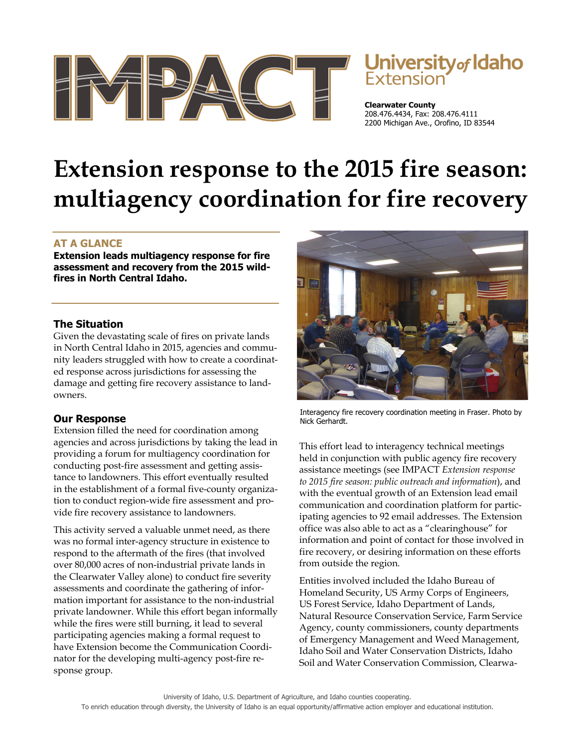

# University of Idaho

**Clearwater County**  208.476.4434, Fax: 208.476.4111 2200 Michigan Ave., Orofino, ID 83544

# **Extension response to the 2015 fire season: multiagency coordination for fire recovery**

# **AT A GLANCE**

**Extension leads multiagency response for fire assessment and recovery from the 2015 wildfires in North Central Idaho.** 

### **The Situation**

Given the devastating scale of fires on private lands in North Central Idaho in 2015, agencies and community leaders struggled with how to create a coordinated response across jurisdictions for assessing the damage and getting fire recovery assistance to landowners.

# **Our Response**

Extension filled the need for coordination among agencies and across jurisdictions by taking the lead in providing a forum for multiagency coordination for conducting post-fire assessment and getting assistance to landowners. This effort eventually resulted in the establishment of a formal five-county organization to conduct region-wide fire assessment and provide fire recovery assistance to landowners.

This activity served a valuable unmet need, as there was no formal inter-agency structure in existence to respond to the aftermath of the fires (that involved over 80,000 acres of non-industrial private lands in the Clearwater Valley alone) to conduct fire severity assessments and coordinate the gathering of information important for assistance to the non-industrial private landowner. While this effort began informally while the fires were still burning, it lead to several participating agencies making a formal request to have Extension become the Communication Coordinator for the developing multi-agency post-fire response group.



Interagency fire recovery coordination meeting in Fraser. Photo by Nick Gerhardt.

This effort lead to interagency technical meetings held in conjunction with public agency fire recovery assistance meetings (see IMPACT *Extension response to 2015 fire season: public outreach and information*), and with the eventual growth of an Extension lead email communication and coordination platform for participating agencies to 92 email addresses. The Extension office was also able to act as a "clearinghouse" for information and point of contact for those involved in fire recovery, or desiring information on these efforts from outside the region.

Entities involved included the Idaho Bureau of Homeland Security, US Army Corps of Engineers, US Forest Service, Idaho Department of Lands, Natural Resource Conservation Service, Farm Service Agency, county commissioners, county departments of Emergency Management and Weed Management, Idaho Soil and Water Conservation Districts, Idaho Soil and Water Conservation Commission, Clearwa